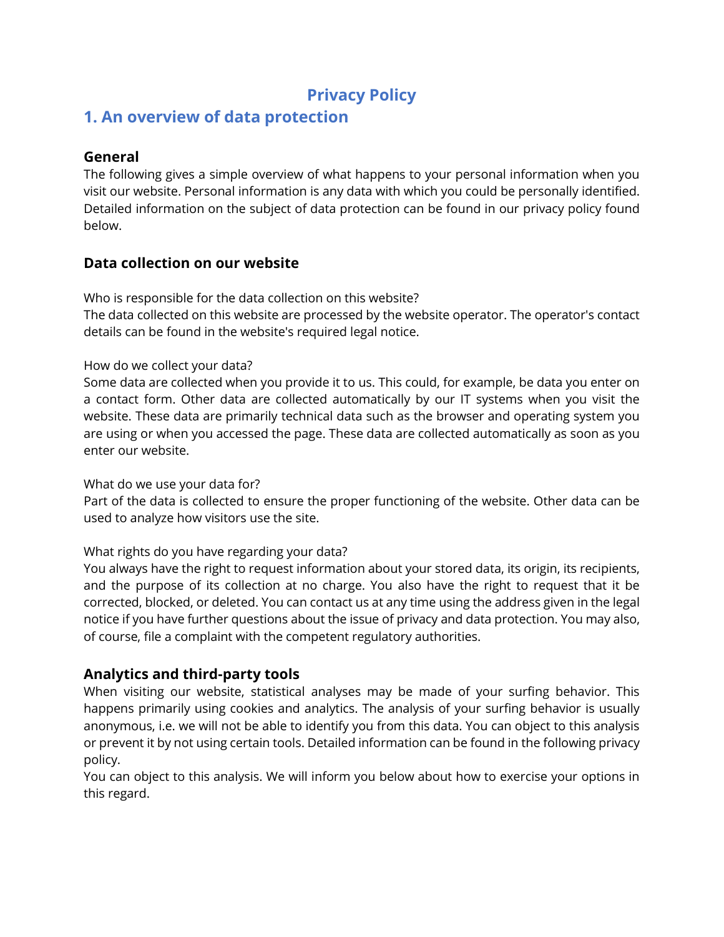# **Privacy Policy**

# **1. An overview of data protection**

### **General**

The following gives a simple overview of what happens to your personal information when you visit our website. Personal information is any data with which you could be personally identified. Detailed information on the subject of data protection can be found in our privacy policy found below.

# **Data collection on our website**

Who is responsible for the data collection on this website?

The data collected on this website are processed by the website operator. The operator's contact details can be found in the website's required legal notice.

#### How do we collect your data?

Some data are collected when you provide it to us. This could, for example, be data you enter on a contact form. Other data are collected automatically by our IT systems when you visit the website. These data are primarily technical data such as the browser and operating system you are using or when you accessed the page. These data are collected automatically as soon as you enter our website.

#### What do we use your data for?

Part of the data is collected to ensure the proper functioning of the website. Other data can be used to analyze how visitors use the site.

#### What rights do you have regarding your data?

You always have the right to request information about your stored data, its origin, its recipients, and the purpose of its collection at no charge. You also have the right to request that it be corrected, blocked, or deleted. You can contact us at any time using the address given in the legal notice if you have further questions about the issue of privacy and data protection. You may also, of course, file a complaint with the competent regulatory authorities.

## **Analytics and third-party tools**

When visiting our website, statistical analyses may be made of your surfing behavior. This happens primarily using cookies and analytics. The analysis of your surfing behavior is usually anonymous, i.e. we will not be able to identify you from this data. You can object to this analysis or prevent it by not using certain tools. Detailed information can be found in the following privacy policy.

You can object to this analysis. We will inform you below about how to exercise your options in this regard.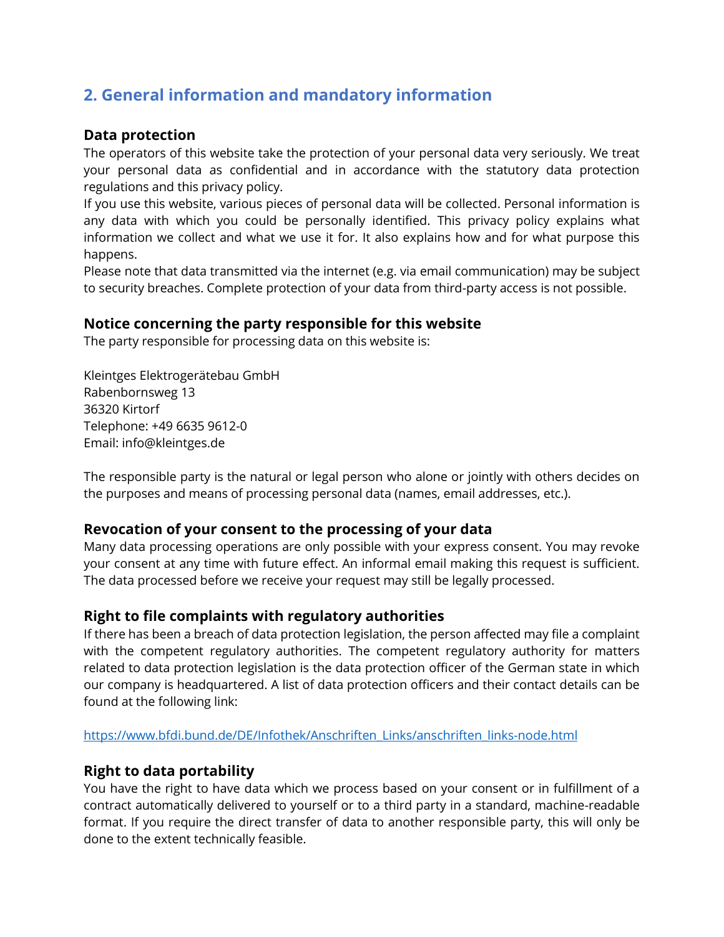# **2. General information and mandatory information**

#### **Data protection**

The operators of this website take the protection of your personal data very seriously. We treat your personal data as confidential and in accordance with the statutory data protection regulations and this privacy policy.

If you use this website, various pieces of personal data will be collected. Personal information is any data with which you could be personally identified. This privacy policy explains what information we collect and what we use it for. It also explains how and for what purpose this happens.

Please note that data transmitted via the internet (e.g. via email communication) may be subject to security breaches. Complete protection of your data from third-party access is not possible.

## **Notice concerning the party responsible for this website**

The party responsible for processing data on this website is:

Kleintges Elektrogerätebau GmbH Rabenbornsweg 13 36320 Kirtorf Telephone: +49 6635 9612-0 Email: info@kleintges.de

The responsible party is the natural or legal person who alone or jointly with others decides on the purposes and means of processing personal data (names, email addresses, etc.).

## **Revocation of your consent to the processing of your data**

Many data processing operations are only possible with your express consent. You may revoke your consent at any time with future effect. An informal email making this request is sufficient. The data processed before we receive your request may still be legally processed.

## **Right to file complaints with regulatory authorities**

If there has been a breach of data protection legislation, the person affected may file a complaint with the competent regulatory authorities. The competent regulatory authority for matters related to data protection legislation is the data protection officer of the German state in which our company is headquartered. A list of data protection officers and their contact details can be found at the following link:

[https://www.bfdi.bund.de/DE/Infothek/Anschriften\\_Links/anschriften\\_links-node.html](https://www.bfdi.bund.de/DE/Infothek/Anschriften_Links/anschriften_links-node.html)

## **Right to data portability**

You have the right to have data which we process based on your consent or in fulfillment of a contract automatically delivered to yourself or to a third party in a standard, machine-readable format. If you require the direct transfer of data to another responsible party, this will only be done to the extent technically feasible.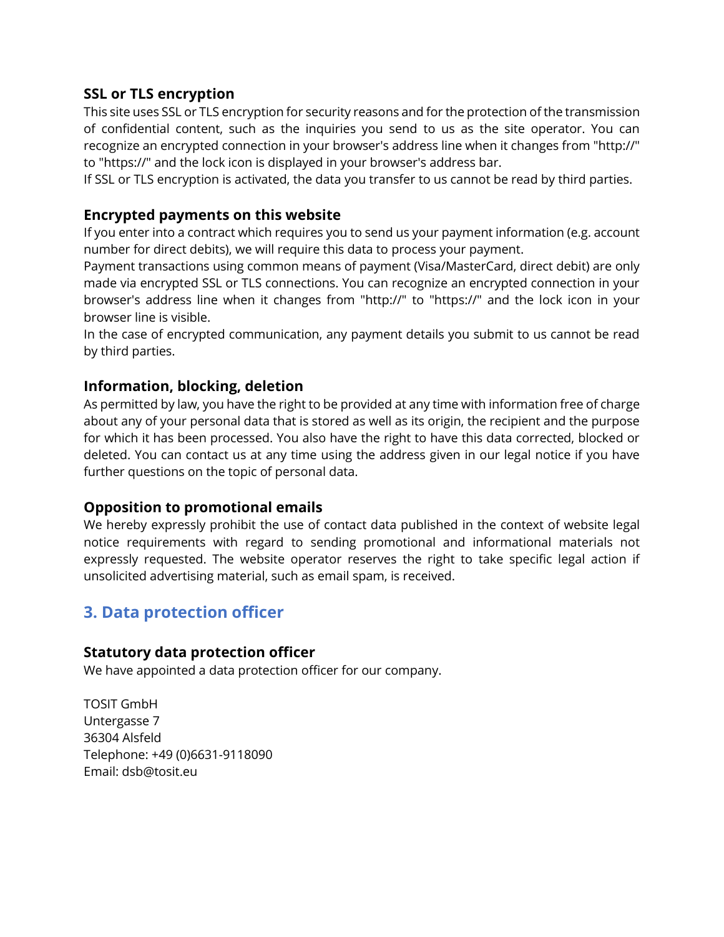#### **SSL or TLS encryption**

This site uses SSL or TLS encryption for security reasons and for the protection of the transmission of confidential content, such as the inquiries you send to us as the site operator. You can recognize an encrypted connection in your browser's address line when it changes from "http://" to "https://" and the lock icon is displayed in your browser's address bar.

If SSL or TLS encryption is activated, the data you transfer to us cannot be read by third parties.

#### **Encrypted payments on this website**

If you enter into a contract which requires you to send us your payment information (e.g. account number for direct debits), we will require this data to process your payment.

Payment transactions using common means of payment (Visa/MasterCard, direct debit) are only made via encrypted SSL or TLS connections. You can recognize an encrypted connection in your browser's address line when it changes from "http://" to "https://" and the lock icon in your browser line is visible.

In the case of encrypted communication, any payment details you submit to us cannot be read by third parties.

#### **Information, blocking, deletion**

As permitted by law, you have the right to be provided at any time with information free of charge about any of your personal data that is stored as well as its origin, the recipient and the purpose for which it has been processed. You also have the right to have this data corrected, blocked or deleted. You can contact us at any time using the address given in our legal notice if you have further questions on the topic of personal data.

#### **Opposition to promotional emails**

We hereby expressly prohibit the use of contact data published in the context of website legal notice requirements with regard to sending promotional and informational materials not expressly requested. The website operator reserves the right to take specific legal action if unsolicited advertising material, such as email spam, is received.

# **3. Data protection officer**

#### **Statutory data protection officer**

We have appointed a data protection officer for our company.

TOSIT GmbH Untergasse 7 36304 Alsfeld Telephone: +49 (0)6631-9118090 Email: dsb@tosit.eu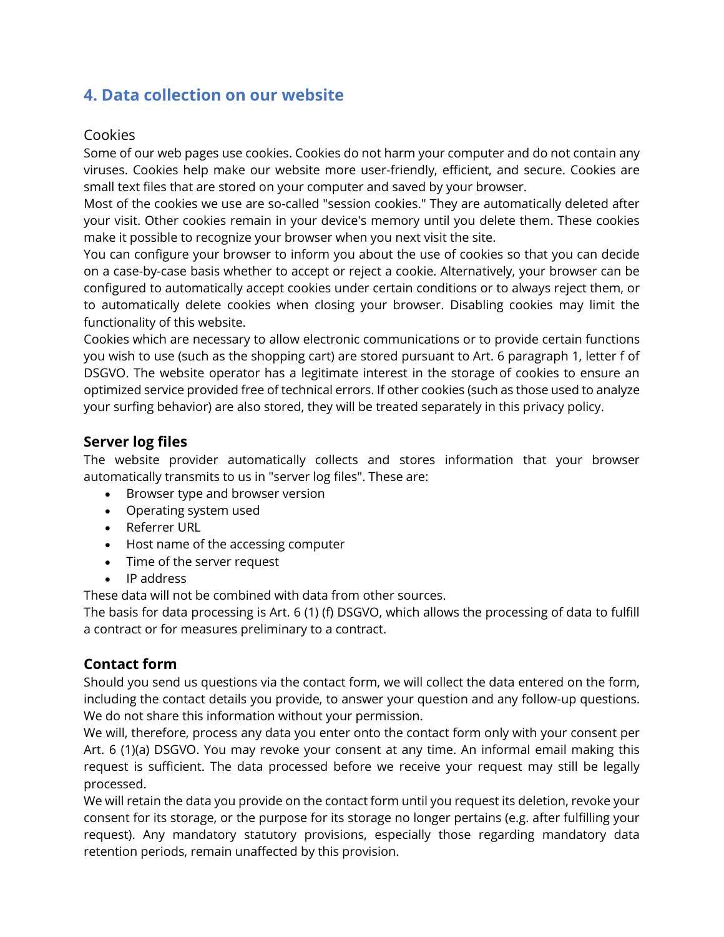# **4. Data collection on our website**

#### Cookies

Some of our web pages use cookies. Cookies do not harm your computer and do not contain any viruses. Cookies help make our website more user-friendly, efficient, and secure. Cookies are small text files that are stored on your computer and saved by your browser.

Most of the cookies we use are so-called "session cookies." They are automatically deleted after your visit. Other cookies remain in your device's memory until you delete them. These cookies make it possible to recognize your browser when you next visit the site.

You can configure your browser to inform you about the use of cookies so that you can decide on a case-by-case basis whether to accept or reject a cookie. Alternatively, your browser can be configured to automatically accept cookies under certain conditions or to always reject them, or to automatically delete cookies when closing your browser. Disabling cookies may limit the functionality of this website.

Cookies which are necessary to allow electronic communications or to provide certain functions you wish to use (such as the shopping cart) are stored pursuant to Art. 6 paragraph 1, letter f of DSGVO. The website operator has a legitimate interest in the storage of cookies to ensure an optimized service provided free of technical errors. If other cookies (such as those used to analyze your surfing behavior) are also stored, they will be treated separately in this privacy policy.

## **Server log files**

The website provider automatically collects and stores information that your browser automatically transmits to us in "server log files". These are:

- Browser type and browser version
- Operating system used
- Referrer URL
- Host name of the accessing computer
- Time of the server request
- IP address

These data will not be combined with data from other sources.

The basis for data processing is Art. 6 (1) (f) DSGVO, which allows the processing of data to fulfill a contract or for measures preliminary to a contract.

## **Contact form**

Should you send us questions via the contact form, we will collect the data entered on the form, including the contact details you provide, to answer your question and any follow-up questions. We do not share this information without your permission.

We will, therefore, process any data you enter onto the contact form only with your consent per Art. 6 (1)(a) DSGVO. You may revoke your consent at any time. An informal email making this request is sufficient. The data processed before we receive your request may still be legally processed.

We will retain the data you provide on the contact form until you request its deletion, revoke your consent for its storage, or the purpose for its storage no longer pertains (e.g. after fulfilling your request). Any mandatory statutory provisions, especially those regarding mandatory data retention periods, remain unaffected by this provision.